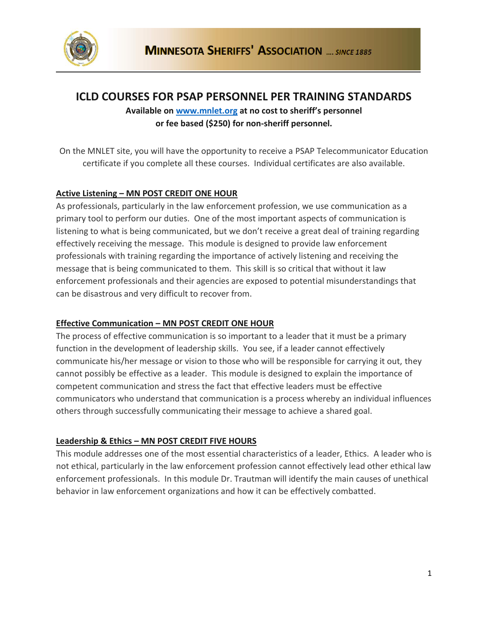

# **ICLD COURSES FOR PSAP PERSONNEL PER TRAINING STANDARDS**

# **Available on [www.mnlet.org](http://www.mnlet.org/) at no cost to sheriff's personnel or fee based (\$250) for non-sheriff personnel.**

On the MNLET site, you will have the opportunity to receive a PSAP Telecommunicator Education certificate if you complete all these courses. Individual certificates are also available.

# **Active Listening – MN POST CREDIT ONE HOUR**

As professionals, particularly in the law enforcement profession, we use communication as a primary tool to perform our duties. One of the most important aspects of communication is listening to what is being communicated, but we don't receive a great deal of training regarding effectively receiving the message. This module is designed to provide law enforcement professionals with training regarding the importance of actively listening and receiving the message that is being communicated to them. This skill is so critical that without it law enforcement professionals and their agencies are exposed to potential misunderstandings that can be disastrous and very difficult to recover from.

# **Effective Communication – MN POST CREDIT ONE HOUR**

The process of effective communication is so important to a leader that it must be a primary function in the development of leadership skills. You see, if a leader cannot effectively communicate his/her message or vision to those who will be responsible for carrying it out, they cannot possibly be effective as a leader. This module is designed to explain the importance of competent communication and stress the fact that effective leaders must be effective communicators who understand that communication is a process whereby an individual influences others through successfully communicating their message to achieve a shared goal.

# **Leadership & Ethics – MN POST CREDIT FIVE HOURS**

This module addresses one of the most essential characteristics of a leader, Ethics. A leader who is not ethical, particularly in the law enforcement profession cannot effectively lead other ethical law enforcement professionals. In this module Dr. Trautman will identify the main causes of unethical behavior in law enforcement organizations and how it can be effectively combatted.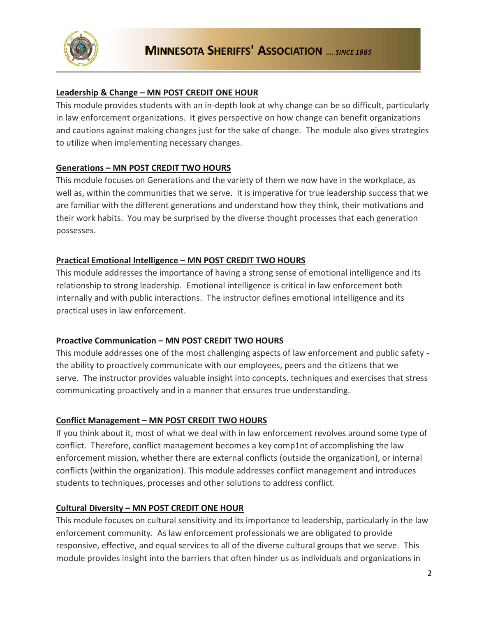

### **Leadership & Change – MN POST CREDIT ONE HOUR**

This module provides students with an in-depth look at why change can be so difficult, particularly in law enforcement organizations. It gives perspective on how change can benefit organizations and cautions against making changes just for the sake of change. The module also gives strategies to utilize when implementing necessary changes.

#### **Generations – MN POST CREDIT TWO HOURS**

This module focuses on Generations and the variety of them we now have in the workplace, as well as, within the communities that we serve. It is imperative for true leadership success that we are familiar with the different generations and understand how they think, their motivations and their work habits. You may be surprised by the diverse thought processes that each generation possesses.

# **Practical Emotional Intelligence – MN POST CREDIT TWO HOURS**

This module addresses the importance of having a strong sense of emotional intelligence and its relationship to strong leadership. Emotional intelligence is critical in law enforcement both internally and with public interactions. The instructor defines emotional intelligence and its practical uses in law enforcement.

#### **Proactive Communication – MN POST CREDIT TWO HOURS**

This module addresses one of the most challenging aspects of law enforcement and public safety the ability to proactively communicate with our employees, peers and the citizens that we serve. The instructor provides valuable insight into concepts, techniques and exercises that stress communicating proactively and in a manner that ensures true understanding.

#### **Conflict Management – MN POST CREDIT TWO HOURS**

If you think about it, most of what we deal with in law enforcement revolves around some type of conflict. Therefore, conflict management becomes a key comp1nt of accomplishing the law enforcement mission, whether there are external conflicts (outside the organization), or internal conflicts (within the organization). This module addresses conflict management and introduces students to techniques, processes and other solutions to address conflict.

#### **Cultural Diversity – MN POST CREDIT ONE HOUR**

This module focuses on cultural sensitivity and its importance to leadership, particularly in the law enforcement community. As law enforcement professionals we are obligated to provide responsive, effective, and equal services to all of the diverse cultural groups that we serve. This module provides insight into the barriers that often hinder us as individuals and organizations in